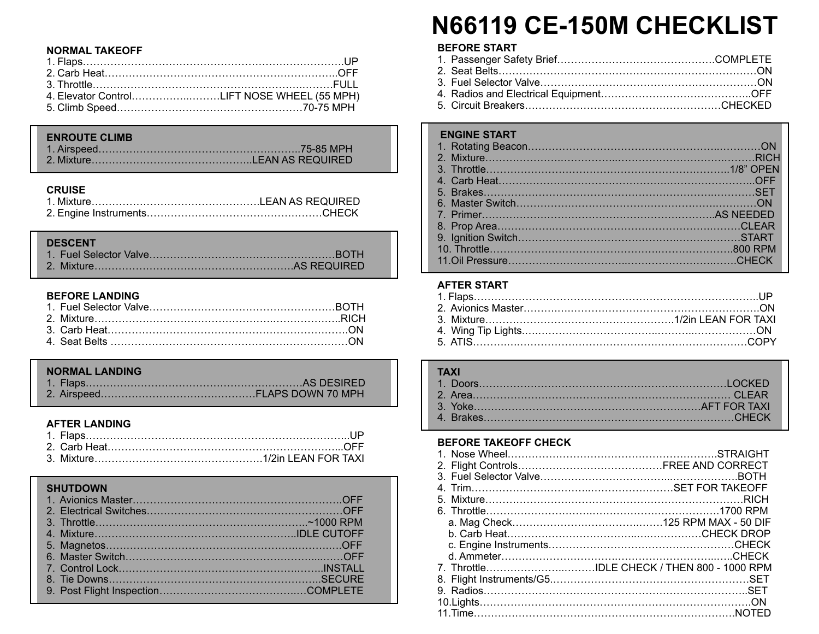## **NORMAL TAKEOFF**

| 4. Elevator ControlLIFT NOSE WHEEL (55 MPH) |  |
|---------------------------------------------|--|
|                                             |  |

## **ENROUTE CLIMB**

## **CRUISE**

## **DESCENT**

## **BEFORE LANDING**

## **NORMAL LANDING**

## **AFTER LANDING**

## **SHUTDOWN**

# **N66119 CE-150M CHECKLIST**

## **BEFORE START**

## **ENGINE START**

| <b>LIVOTIVE OTALY</b> |  |
|-----------------------|--|
|                       |  |
|                       |  |
|                       |  |
|                       |  |
|                       |  |
|                       |  |
|                       |  |
|                       |  |
|                       |  |
|                       |  |
|                       |  |
|                       |  |

## **AFTER START**

## **TAXI**

## **BEFORE TAKEOFF CHECK**